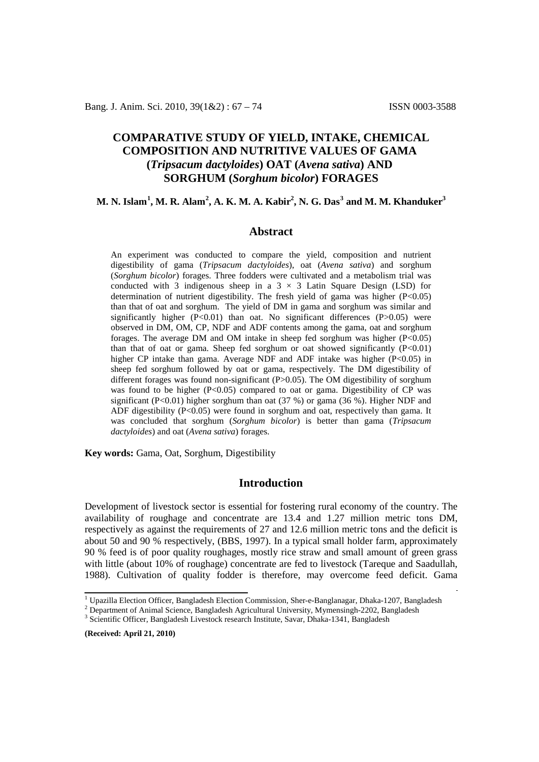# **COMPARATIVE STUDY OF YIELD, INTAKE, CHEMICAL COMPOSITION AND NUTRITIVE VALUES OF GAMA (***Tripsacum dactyloides***) OAT (***Avena sativa***) AND SORGHUM (***Sorghum bicolor***) FORAGES**

# M. N. Islam $^1$ , M. R. Alam $^2$ , A. K. M. A. Kabir $^2$ , N. G. Das $^3$  and M. M. Khanduker $^3$

### **Abstract**

An experiment was conducted to compare the yield, composition and nutrient digestibility of gama (*Tripsacum dactyloides*), oat (*Avena sativa*) and sorghum (*Sorghum bicolor*) forages. Three fodders were cultivated and a metabolism trial was conducted with 3 indigenous sheep in a  $3 \times 3$  Latin Square Design (LSD) for determination of nutrient digestibility. The fresh yield of gama was higher  $(P<0.05)$ than that of oat and sorghum. The yield of DM in gama and sorghum was similar and significantly higher  $(P<0.01)$  than oat. No significant differences  $(P>0.05)$  were observed in DM, OM, CP, NDF and ADF contents among the gama, oat and sorghum forages. The average DM and OM intake in sheep fed sorghum was higher (P<0.05) than that of oat or gama. Sheep fed sorghum or oat showed significantly  $(P<0.01)$ higher CP intake than gama. Average NDF and ADF intake was higher (P<0.05) in sheep fed sorghum followed by oat or gama, respectively. The DM digestibility of different forages was found non-significant (P>0.05). The OM digestibility of sorghum was found to be higher (P<0.05) compared to oat or gama. Digestibility of CP was significant (P<0.01) higher sorghum than oat (37 %) or gama (36 %). Higher NDF and ADF digestibility (P<0.05) were found in sorghum and oat, respectively than gama. It was concluded that sorghum (*Sorghum bicolor*) is better than gama (*Tripsacum dactyloides*) and oat (*Avena sativa*) forages.

**Key words:** Gama, Oat, Sorghum, Digestibility

# **Introduction**

Development of livestock sector is essential for fostering rural economy of the country. The availability of roughage and concentrate are 13.4 and 1.27 million metric tons DM, respectively as against the requirements of 27 and 12.6 million metric tons and the deficit is about 50 and 90 % respectively, (BBS, 1997). In a typical small holder farm, approximately 90 % feed is of poor quality roughages, mostly rice straw and small amount of green grass with little (about 10% of roughage) concentrate are fed to livestock (Tareque and Saadullah, 1988). Cultivation of quality fodder is therefore, may overcome feed deficit. Gama

**(Received: April 21, 2010)**

<sup>&</sup>lt;sup>1</sup> Upazilla Election Officer, Bangladesh Election Commission, Sher-e-Banglanagar, Dhaka-1207, Bangladesh  $^{2}$  Department of Animal Science, Bangladesh Agricultural University, Mymensingh-2202, Bangladesh  $^{3}$  Scientifi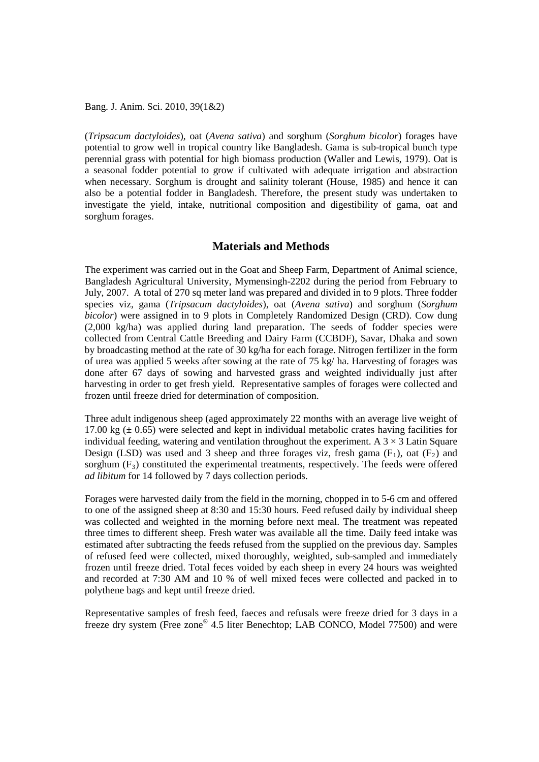(*Tripsacum dactyloides*), oat (*Avena sativa*) and sorghum (*Sorghum bicolor*) forages have potential to grow well in tropical country like Bangladesh. Gama is sub-tropical bunch type perennial grass with potential for high biomass production (Waller and Lewis, 1979). Oat is a seasonal fodder potential to grow if cultivated with adequate irrigation and abstraction when necessary. Sorghum is drought and salinity tolerant (House, 1985) and hence it can also be a potential fodder in Bangladesh. Therefore, the present study was undertaken to investigate the yield, intake, nutritional composition and digestibility of gama, oat and sorghum forages.

# **Materials and Methods**

The experiment was carried out in the Goat and Sheep Farm, Department of Animal science, Bangladesh Agricultural University, Mymensingh-2202 during the period from February to July, 2007. A total of 270 sq meter land was prepared and divided in to 9 plots. Three fodder species viz, gama (*Tripsacum dactyloides*), oat (*Avena sativa*) and sorghum (*Sorghum bicolor*) were assigned in to 9 plots in Completely Randomized Design (CRD). Cow dung (2,000 kg/ha) was applied during land preparation. The seeds of fodder species were collected from Central Cattle Breeding and Dairy Farm (CCBDF), Savar, Dhaka and sown by broadcasting method at the rate of 30 kg/ha for each forage. Nitrogen fertilizer in the form of urea was applied 5 weeks after sowing at the rate of 75 kg/ ha. Harvesting of forages was done after 67 days of sowing and harvested grass and weighted individually just after harvesting in order to get fresh yield. Representative samples of forages were collected and frozen until freeze dried for determination of composition.

Three adult indigenous sheep (aged approximately 22 months with an average live weight of 17.00 kg  $(\pm 0.65)$  were selected and kept in individual metabolic crates having facilities for individual feeding, watering and ventilation throughout the experiment. A  $3 \times 3$  Latin Square Design (LSD) was used and 3 sheep and three forages viz, fresh gama  $(F_1)$ , oat  $(F_2)$  and sorghum  $(F_3)$  constituted the experimental treatments, respectively. The feeds were offered *ad libitum* for 14 followed by 7 days collection periods.

Forages were harvested daily from the field in the morning, chopped in to 5-6 cm and offered to one of the assigned sheep at 8:30 and 15:30 hours. Feed refused daily by individual sheep was collected and weighted in the morning before next meal. The treatment was repeated three times to different sheep. Fresh water was available all the time. Daily feed intake was estimated after subtracting the feeds refused from the supplied on the previous day. Samples of refused feed were collected, mixed thoroughly, weighted, sub-sampled and immediately frozen until freeze dried. Total feces voided by each sheep in every 24 hours was weighted and recorded at 7:30 AM and 10 % of well mixed feces were collected and packed in to polythene bags and kept until freeze dried.

Representative samples of fresh feed, faeces and refusals were freeze dried for 3 days in a freeze dry system (Free zone® 4.5 liter Benechtop; LAB CONCO, Model 77500) and were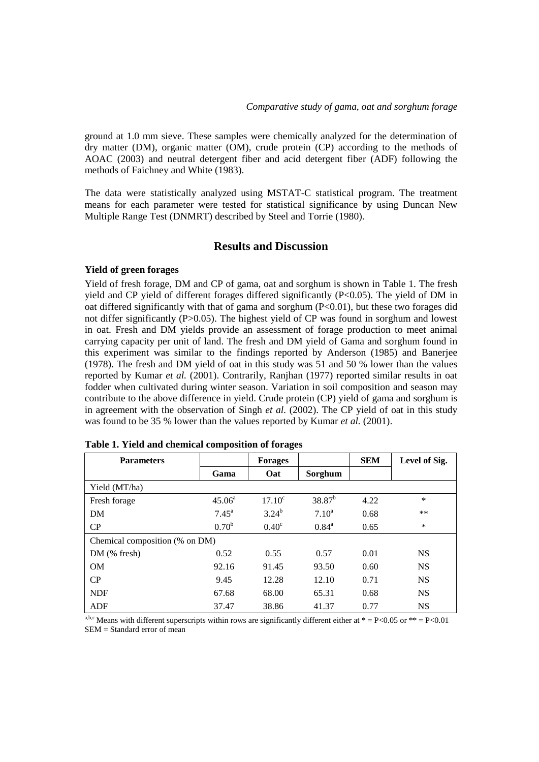ground at 1.0 mm sieve. These samples were chemically analyzed for the determination of dry matter (DM), organic matter (OM), crude protein (CP) according to the methods of AOAC (2003) and neutral detergent fiber and acid detergent fiber (ADF) following the methods of Faichney and White (1983).

The data were statistically analyzed using MSTAT-C statistical program. The treatment means for each parameter were tested for statistical significance by using Duncan New Multiple Range Test (DNMRT) described by Steel and Torrie (1980).

# **Results and Discussion**

### **Yield of green forages**

Yield of fresh forage, DM and CP of gama, oat and sorghum is shown in Table 1. The fresh yield and CP yield of different forages differed significantly  $(P<0.05)$ . The yield of DM in oat differed significantly with that of gama and sorghum  $(P<0.01)$ , but these two forages did not differ significantly (P>0.05). The highest yield of CP was found in sorghum and lowest in oat. Fresh and DM yields provide an assessment of forage production to meet animal carrying capacity per unit of land. The fresh and DM yield of Gama and sorghum found in this experiment was similar to the findings reported by Anderson (1985) and Banerjee (1978). The fresh and DM yield of oat in this study was 51 and 50 % lower than the values reported by Kumar *et al.* (2001). Contrarily, Ranjhan (1977) reported similar results in oat fodder when cultivated during winter season. Variation in soil composition and season may contribute to the above difference in yield. Crude protein (CP) yield of gama and sorghum is in agreement with the observation of Singh *et al.* (2002). The CP yield of oat in this study was found to be 35 % lower than the values reported by Kumar *et al.* (2001).

| <b>Parameters</b>              |                   | <b>Forages</b>  |                | <b>SEM</b> | Level of Sig. |  |
|--------------------------------|-------------------|-----------------|----------------|------------|---------------|--|
|                                | Gama              | Oat             | Sorghum        |            |               |  |
| Yield (MT/ha)                  |                   |                 |                |            |               |  |
| Fresh forage                   | $45.06^{\circ}$   | $17.10^{\circ}$ | $38.87^{b}$    | 4.22       | $\ast$        |  |
| DM                             | $7.45^{\text{a}}$ | $3.24^{b}$      | $7.10^a$       | 0.68       | **            |  |
| CP                             | 0.70 <sup>b</sup> | $0.40^\circ$    | $0.84^{\rm a}$ | 0.65       | $\ast$        |  |
| Chemical composition (% on DM) |                   |                 |                |            |               |  |
| $DM$ (% fresh)                 | 0.52              | 0.55            | 0.57           | 0.01       | <b>NS</b>     |  |
| <b>OM</b>                      | 92.16             | 91.45           | 93.50          | 0.60       | <b>NS</b>     |  |
| CP                             | 9.45              | 12.28           | 12.10          | 0.71       | <b>NS</b>     |  |
| <b>NDF</b>                     | 67.68             | 68.00           | 65.31          | 0.68       | <b>NS</b>     |  |
| ADF                            | 37.47             | 38.86           | 41.37          | 0.77       | <b>NS</b>     |  |

| Table 1. Yield and chemical composition of forages |  |  |
|----------------------------------------------------|--|--|
|----------------------------------------------------|--|--|

a,b,c Means with different superscripts within rows are significantly different either at  $* = P < 0.05$  or  $** = P < 0.01$ SEM = Standard error of mean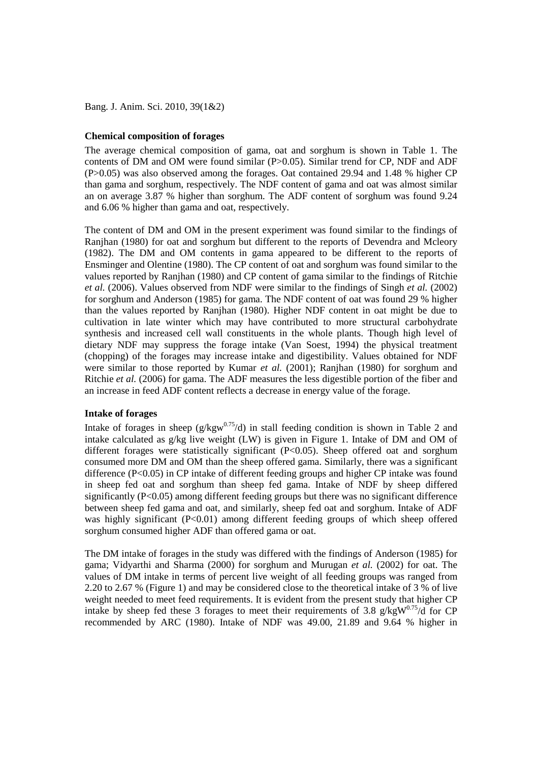#### **Chemical composition of forages**

The average chemical composition of gama, oat and sorghum is shown in Table 1. The contents of DM and OM were found similar (P>0.05). Similar trend for CP, NDF and ADF (P>0.05) was also observed among the forages. Oat contained 29.94 and 1.48 % higher CP than gama and sorghum, respectively. The NDF content of gama and oat was almost similar an on average 3.87 % higher than sorghum. The ADF content of sorghum was found 9.24 and 6.06 % higher than gama and oat, respectively.

The content of DM and OM in the present experiment was found similar to the findings of Ranjhan (1980) for oat and sorghum but different to the reports of Devendra and Mcleory (1982). The DM and OM contents in gama appeared to be different to the reports of Ensminger and Olentine (1980). The CP content of oat and sorghum was found similar to the values reported by Ranjhan (1980) and CP content of gama similar to the findings of Ritchie *et al.* (2006). Values observed from NDF were similar to the findings of Singh *et al.* (2002) for sorghum and Anderson (1985) for gama. The NDF content of oat was found 29 % higher than the values reported by Ranjhan (1980). Higher NDF content in oat might be due to cultivation in late winter which may have contributed to more structural carbohydrate synthesis and increased cell wall constituents in the whole plants. Though high level of dietary NDF may suppress the forage intake (Van Soest, 1994) the physical treatment (chopping) of the forages may increase intake and digestibility. Values obtained for NDF were similar to those reported by Kumar *et al.* (2001); Ranjhan (1980) for sorghum and Ritchie *et al.* (2006) for gama. The ADF measures the less digestible portion of the fiber and an increase in feed ADF content reflects a decrease in energy value of the forage.

#### **Intake of forages**

Intake of forages in sheep ( $g/kgw^{0.75}/d$ ) in stall feeding condition is shown in Table 2 and intake calculated as g/kg live weight (LW) is given in Figure 1. Intake of DM and OM of different forages were statistically significant (P<0.05). Sheep offered oat and sorghum consumed more DM and OM than the sheep offered gama. Similarly, there was a significant difference (P<0.05) in CP intake of different feeding groups and higher CP intake was found in sheep fed oat and sorghum than sheep fed gama. Intake of NDF by sheep differed significantly (P<0.05) among different feeding groups but there was no significant difference between sheep fed gama and oat, and similarly, sheep fed oat and sorghum. Intake of ADF was highly significant (P<0.01) among different feeding groups of which sheep offered sorghum consumed higher ADF than offered gama or oat.

The DM intake of forages in the study was differed with the findings of Anderson (1985) for gama; Vidyarthi and Sharma (2000) for sorghum and Murugan *et al.* (2002) for oat. The values of DM intake in terms of percent live weight of all feeding groups was ranged from 2.20 to 2.67 % (Figure 1) and may be considered close to the theoretical intake of 3 % of live weight needed to meet feed requirements. It is evident from the present study that higher CP intake by sheep fed these 3 forages to meet their requirements of 3.8  $g/kgW^{0.75}/d$  for CP recommended by ARC (1980). Intake of NDF was 49.00, 21.89 and 9.64 % higher in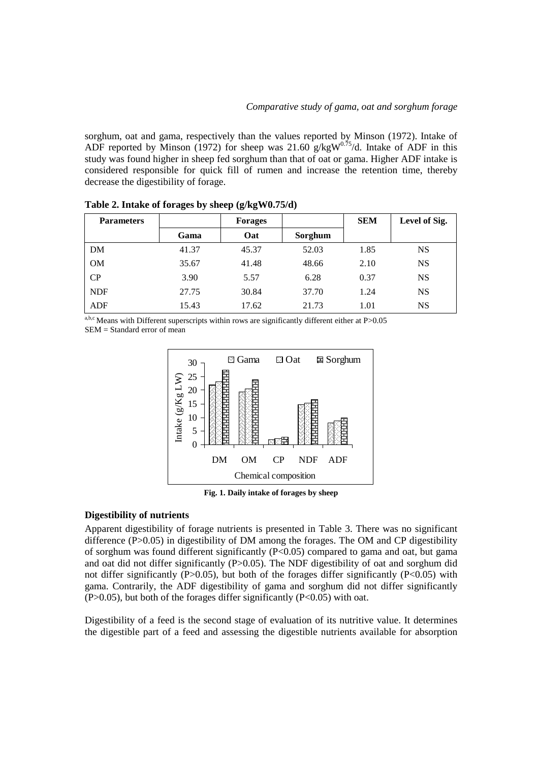sorghum, oat and gama, respectively than the values reported by Minson (1972). Intake of ADF reported by Minson (1972) for sheep was  $21.60 \text{ g/kgW}^{0.75}/d$ . Intake of ADF in this study was found higher in sheep fed sorghum than that of oat or gama. Higher ADF intake is considered responsible for quick fill of rumen and increase the retention time, thereby decrease the digestibility of forage.

| <b>Parameters</b> |       | <b>Forages</b> |         | <b>SEM</b> | Level of Sig. |
|-------------------|-------|----------------|---------|------------|---------------|
|                   | Gama  | Oat            | Sorghum |            |               |
| DM                | 41.37 | 45.37          | 52.03   | 1.85       | <b>NS</b>     |
| <b>OM</b>         | 35.67 | 41.48          | 48.66   | 2.10       | <b>NS</b>     |
| CP                | 3.90  | 5.57           | 6.28    | 0.37       | <b>NS</b>     |
| <b>NDF</b>        | 27.75 | 30.84          | 37.70   | 1.24       | <b>NS</b>     |
| <b>ADF</b>        | 15.43 | 17.62          | 21.73   | 1.01       | NS            |

**Table 2. Intake of forages by sheep (g/kgW0.75/d)**

 $a,b,c$  Means with Different superscripts within rows are significantly different either at P>0.05 SEM = Standard error of mean



**Fig. 1. Daily intake of forages by sheep**

### **Digestibility of nutrients**

Apparent digestibility of forage nutrients is presented in Table 3. There was no significant difference  $(P>0.05)$  in digestibility of DM among the forages. The OM and CP digestibility of sorghum was found different significantly (P<0.05) compared to gama and oat, but gama and oat did not differ significantly  $(P>0.05)$ . The NDF digestibility of oat and sorghum did not differ significantly (P $>0.05$ ), but both of the forages differ significantly (P $<0.05$ ) with gama. Contrarily, the ADF digestibility of gama and sorghum did not differ significantly  $(P>0.05)$ , but both of the forages differ significantly  $(P<0.05)$  with oat.

Digestibility of a feed is the second stage of evaluation of its nutritive value. It determines the digestible part of a feed and assessing the digestible nutrients available for absorption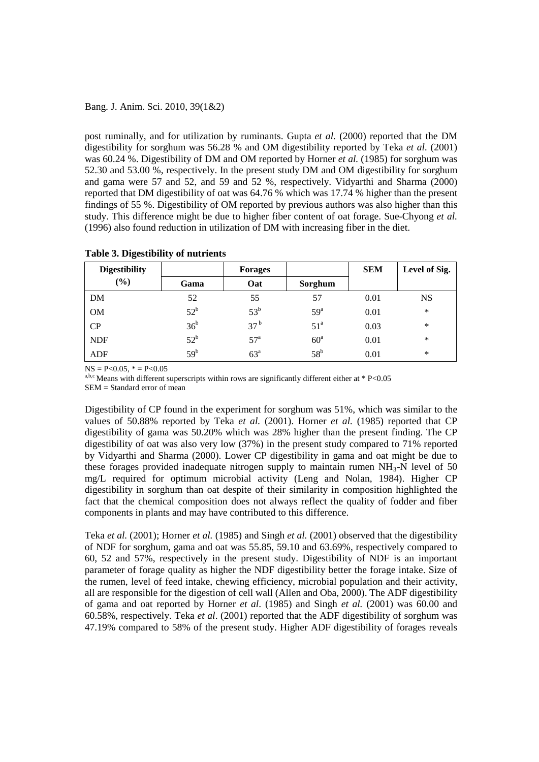post ruminally, and for utilization by ruminants. Gupta *et al.* (2000) reported that the DM digestibility for sorghum was 56.28 % and OM digestibility reported by Teka *et al.* (2001) was 60.24 %. Digestibility of DM and OM reported by Horner *et al.* (1985) for sorghum was 52.30 and 53.00 %, respectively. In the present study DM and OM digestibility for sorghum and gama were 57 and 52, and 59 and 52 %, respectively. Vidyarthi and Sharma (2000) reported that DM digestibility of oat was 64.76 % which was 17.74 % higher than the present findings of 55 %. Digestibility of OM reported by previous authors was also higher than this study. This difference might be due to higher fiber content of oat forage. Sue-Chyong *et al.* (1996) also found reduction in utilization of DM with increasing fiber in the diet.

| <b>Digestibility</b>         |                 | <b>Forages</b>  |                   | <b>SEM</b> | Level of Sig. |
|------------------------------|-----------------|-----------------|-------------------|------------|---------------|
| $\left( \frac{6}{6} \right)$ | Gama            | Oat             | Sorghum           |            |               |
| DM                           | 52              | 55              | 57                | 0.01       | <b>NS</b>     |
| <b>OM</b>                    | $52^{\rm b}$    | 53 <sup>b</sup> | $59^{\mathrm{a}}$ | 0.01       | $\ast$        |
| CP                           | 36 <sup>b</sup> | 37 <sup>b</sup> | 51 <sup>a</sup>   | 0.03       | ∗             |
| <b>NDF</b>                   | $52^b$          | 57 <sup>a</sup> | $60^{\circ}$      | 0.01       | *             |
| ADF                          | $59^{\rm b}$    | $63^{\circ}$    | $58^{\rm b}$      | 0.01       | $\ast$        |

### **Table 3. Digestibility of nutrients**

 $NS = P < 0.05$ ,  $* = P < 0.05$ 

<sup>a,b,c</sup> Means with different superscripts within rows are significantly different either at  $* P < 0.05$ SEM = Standard error of mean

Digestibility of CP found in the experiment for sorghum was 51%, which was similar to the values of 50.88% reported by Teka *et al.* (2001). Horner *et al.* (1985) reported that CP digestibility of gama was 50.20% which was 28% higher than the present finding. The CP digestibility of oat was also very low (37%) in the present study compared to 71% reported by Vidyarthi and Sharma (2000). Lower CP digestibility in gama and oat might be due to these forages provided inadequate nitrogen supply to maintain rumen  $NH<sub>3</sub>-N$  level of 50 mg/L required for optimum microbial activity (Leng and Nolan, 1984). Higher CP digestibility in sorghum than oat despite of their similarity in composition highlighted the fact that the chemical composition does not always reflect the quality of fodder and fiber components in plants and may have contributed to this difference.

Teka *et al.* (2001); Horner *et al.* (1985) and Singh *et al.* (2001) observed that the digestibility of NDF for sorghum, gama and oat was 55.85, 59.10 and 63.69%, respectively compared to 60, 52 and 57%, respectively in the present study. Digestibility of NDF is an important parameter of forage quality as higher the NDF digestibility better the forage intake. Size of the rumen, level of feed intake, chewing efficiency, microbial population and their activity, all are responsible for the digestion of cell wall (Allen and Oba, 2000). The ADF digestibility of gama and oat reported by Horner *et al*. (1985) and Singh *et al.* (2001) was 60.00 and 60.58%, respectively. Teka *et al*. (2001) reported that the ADF digestibility of sorghum was 47.19% compared to 58% of the present study. Higher ADF digestibility of forages reveals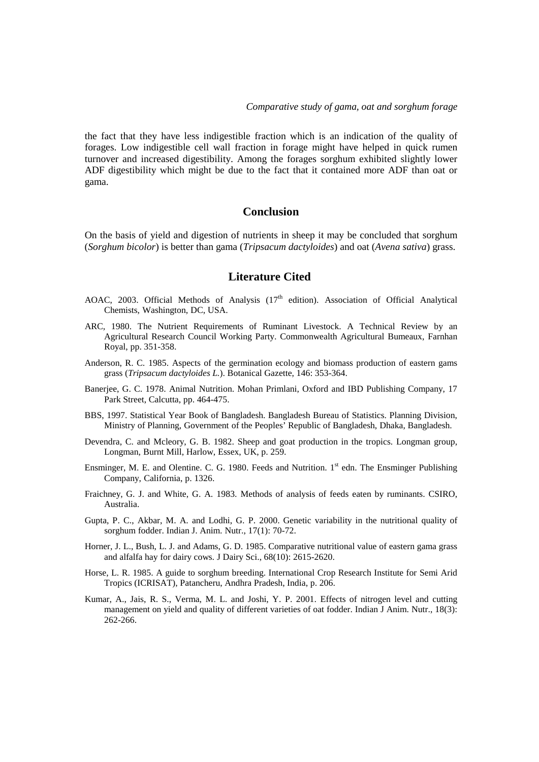the fact that they have less indigestible fraction which is an indication of the quality of forages. Low indigestible cell wall fraction in forage might have helped in quick rumen turnover and increased digestibility. Among the forages sorghum exhibited slightly lower ADF digestibility which might be due to the fact that it contained more ADF than oat or gama.

## **Conclusion**

On the basis of yield and digestion of nutrients in sheep it may be concluded that sorghum (*Sorghum bicolor*) is better than gama (*Tripsacum dactyloides*) and oat (*Avena sativa*) grass.

## **Literature Cited**

- AOAC, 2003. Official Methods of Analysis  $(17<sup>th</sup>$  edition). Association of Official Analytical Chemists, Washington, DC, USA.
- ARC, 1980. The Nutrient Requirements of Ruminant Livestock. A Technical Review by an Agricultural Research Council Working Party. Commonwealth Agricultural Bumeaux, Farnhan Royal, pp. 351-358.
- Anderson, R. C. 1985. Aspects of the germination ecology and biomass production of eastern gams grass (*Tripsacum dactyloides L.*). Botanical Gazette, 146: 353-364.
- Banerjee, G. C. 1978. Animal Nutrition. Mohan Primlani, Oxford and IBD Publishing Company, 17 Park Street, Calcutta, pp. 464-475.
- BBS, 1997. Statistical Year Book of Bangladesh. Bangladesh Bureau of Statistics. Planning Division, Ministry of Planning, Government of the Peoples' Republic of Bangladesh, Dhaka, Bangladesh.
- Devendra, C. and Mcleory, G. B. 1982. Sheep and goat production in the tropics. Longman group, Longman, Burnt Mill, Harlow, Essex, UK, p. 259.
- Ensminger, M. E. and Olentine. C. G. 1980. Feeds and Nutrition. 1<sup>st</sup> edn. The Ensminger Publishing Company, California, p. 1326.
- Fraichney, G. J. and White, G. A. 1983. Methods of analysis of feeds eaten by ruminants. CSIRO, Australia.
- Gupta, P. C., Akbar, M. A. and Lodhi, G. P. 2000. Genetic variability in the nutritional quality of sorghum fodder. Indian J. Anim. Nutr., 17(1): 70-72.
- Horner, J. L., Bush, L. J. and Adams, G. D. 1985. Comparative nutritional value of eastern gama grass and alfalfa hay for dairy cows. J Dairy Sci., 68(10): 2615-2620.
- Horse, L. R. 1985. A guide to sorghum breeding. International Crop Research Institute for Semi Arid Tropics (ICRISAT), Patancheru, Andhra Pradesh, India, p. 206.
- Kumar, A., Jais, R. S., Verma, M. L. and Joshi, Y. P. 2001. Effects of nitrogen level and cutting management on yield and quality of different varieties of oat fodder. Indian J Anim. Nutr., 18(3): 262-266.